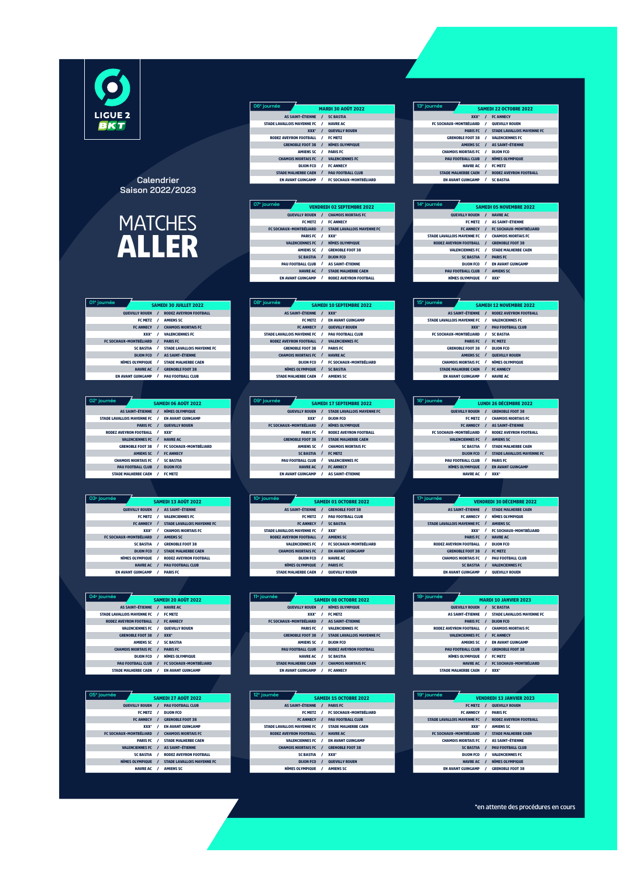$\overline{6}$ LIGUE 2<br>BKT

## **Calendrier Saison 2022/2023**



| 01 <sup>e</sup> journée       | <b>SAMEDI 30 JUILLET 2022</b>             |
|-------------------------------|-------------------------------------------|
| <b>OUEVILLY ROUEN</b>         | <b>RODEZ AVEYRON FOOTBALL</b><br>$\prime$ |
| <b>FC METZ</b>                | <b>AMIENS SC</b><br>1                     |
| <b>FC ANNECY</b>              | <b>CHAMOIS NIORTAIS FC</b>                |
| xxx-                          | <b>VALENCIENNES FC</b><br>1               |
| <b>FC SOCHAUX-MONTBÉLIARD</b> | <b>PARIS FC</b><br>1                      |
| <b>SC BASTIA</b>              | 1<br><b>STADE LAVALLOIS MAYENNE FC</b>    |
| <b>DIJON FCO</b>              | <b>AS SAINT-ÉTIENNE</b><br>$\prime$       |
| <b>NÎMES OLYMPIQUE</b>        | <b>STADE MALHERBE CAEN</b><br>1           |
| <b>HAVRE AC</b>               | <b>GRENOBLE FOOT 38</b>                   |
| <b>EN AVANT GUINGAMP</b>      | <b>PAU FOOTBALL CLUB</b>                  |

| 02 <sup>e</sup> journée           |          | <b>SAMEDI 06 AOÛT 2022</b>    |
|-----------------------------------|----------|-------------------------------|
| <b>AS SAINT-ÉTIENNE</b>           | $\prime$ | <b>NÎMES OLYMPIQUE</b>        |
| <b>STADE LAVALLOIS MAYENNE FC</b> | 1        | <b>EN AVANT GUINGAMP</b>      |
| <b>PARIS FC</b>                   |          | <b>QUEVILLY ROUEN</b>         |
| <b>RODEZ AVEYRON FOOTBALL</b>     |          | XXX-                          |
| <b>VALENCIENNES FC</b>            | 7        | <b>HAVRE AC</b>               |
| <b>GRENOBLE FOOT 38</b>           | 1        | <b>FC SOCHAUX-MONTBÉLIARD</b> |
| <b>AMIENS SC</b>                  |          | <b>FC ANNECY</b>              |
| <b>CHAMOIS NIORTAIS FC</b>        | ,        | <b>SC BASTIA</b>              |
| <b>PAU FOOTBALL CLUB</b>          | $\prime$ | <b>DIJON FCO</b>              |
| <b>STADE MALHERBE CAEN</b>        |          | <b>FC METZ</b>                |

| 03 <sup>e</sup> journée       |          | <b>SAMEDI 13 AOÛT 2022</b>        |
|-------------------------------|----------|-----------------------------------|
| <b>OUEVILLY ROUEN</b>         | $\prime$ | <b>AS SAINT-ÉTIENNE</b>           |
| <b>FC METZ</b>                | ,        | <b>VALENCIENNES FC</b>            |
| <b>FC ANNECY</b>              | $\prime$ | <b>STADE LAVALLOIS MAYENNE FC</b> |
| xxx-                          | ,        | <b>CHAMOIS NIORTAIS FC</b>        |
| <b>FC SOCHAUX-MONTBÉLIARD</b> | $\prime$ | <b>AMIENS SC</b>                  |
| <b>SC BASTIA</b>              | ,        | <b>GRENOBLE FOOT 38</b>           |
| <b>DIJON FCO</b>              | $\prime$ | <b>STADE MALHERBE CAEN</b>        |
| <b>NÍMES OLYMPIQUE</b>        | ,        | <b>RODEZ AVEYRON FOOTBALL</b>     |
| <b>HAVRE AC</b>               |          | <b>PAU FOOTBALL CLUB</b>          |
| <b>EN AVANT GUINGAMP</b>      |          | <b>PARIS FC</b>                   |

| 04 <sup>e</sup> journée           |          | <b>SAMEDI 20 AOÛT 2022</b>    |
|-----------------------------------|----------|-------------------------------|
| <b>AS SAINT-ÉTIENNE</b>           | $\prime$ | <b>HAVRE AC</b>               |
| <b>STADE LAVALLOIS MAYENNE FC</b> | $\prime$ | <b>FC METZ</b>                |
| <b>RODEZ AVEYRON FOOTBALL</b>     | $\prime$ | <b>FC ANNECY</b>              |
| <b>VALENCIENNES FC</b>            | ,        | <b>QUEVILLY ROUEN</b>         |
| <b>GRENOBLE FOOT 38</b>           | $\prime$ | <b>XXX-</b>                   |
| <b>AMIENS SC</b>                  | 1        | <b>SC BASTIA</b>              |
| <b>CHAMOIS NIORTAIS FC</b>        | $\prime$ | <b>PARIS FC</b>               |
| <b>DIJON FCO</b>                  | 1        | <b>NÎMES OLVMPIOUE</b>        |
| <b>PAU FOOTBALL CLUB</b>          | $\prime$ | <b>FC SOCHAUX-MONTBÉLIARD</b> |
| <b>STADE MALHERBE CAEN</b>        | ,        | <b>EN AVANT GUINGAMP</b>      |

| 05 <sup>e</sup> journée       | <b>SAMEDI 27 AOÛT 2022</b>                    |
|-------------------------------|-----------------------------------------------|
|                               |                                               |
| <b>QUEVILLY ROUEN</b>         | <b>PAU FOOTBALL CLUB</b><br>$\prime$          |
| <b>FC METZ</b>                | <b>DIJON FCO</b><br>,                         |
| <b>FC ANNECY</b>              | <b>GRENOBLE FOOT 38</b>                       |
| xxx-                          | <b>EN AVANT GUINGAMP</b><br>$\prime$          |
| <b>FC SOCHAUX-MONTBÉLIARD</b> | <b>CHAMOIS NIORTAIS FC</b>                    |
| <b>PARIS FC</b>               | ,<br><b>STADE MALHERBE CAEN</b>               |
| <b>VALENCIENNES FC</b>        | <b>AS SAINT-ÉTIENNE</b>                       |
| <b>SC BASTIA</b>              | 1<br><b>RODEZ AVEVRON FOOTBALL</b>            |
| <b>NÎMES OLYMPIQUE</b>        | <b>STADE LAVALLOIS MAYENNE FC</b><br>$\prime$ |
| <b>HAVRE AC</b>               | <b>AMIENS SC</b>                              |

| 06 <sup>e</sup> journée           |          | <b>MARDI 30 AOÛT 2022</b>     |
|-----------------------------------|----------|-------------------------------|
| <b>AS SAINT-ÉTIENNE</b>           | $\prime$ | <b>SC BASTIA</b>              |
| <b>STADE LAVALLOIS MAYENNE FC</b> | ,        | <b>HAVRE AC</b>               |
| <b>XXX*</b>                       | $\prime$ | <b>QUEVILLY ROUEN</b>         |
| <b>RODEZ AVEYRON FOOTBALL</b>     | ,        | <b>FC METZ</b>                |
| <b>GRENOBLE FOOT 38</b>           | $\prime$ | <b>NÎMES OLYMPIQUE</b>        |
| <b>AMIENS SC</b>                  | 1        | <b>PARIS FC</b>               |
| <b>CHAMOIS NIORTAIS FC</b>        | $\prime$ | <b>VALENCIENNES FC</b>        |
| <b>DIJON FCO</b>                  | ,        | <b>FC ANNECY</b>              |
| <b>STADE MALHERBE CAEN</b>        | $\prime$ | <b>PAU FOOTBALL CLUB</b>      |
| <b>EN AVANT GUINGAMP</b>          | $\prime$ | <b>FC SOCHAUX-MONTBÉLIARD</b> |

| 07 <sup>e</sup> journée       |          | <b>VENDREDI 02 SEPTEMBRE 2022</b> |
|-------------------------------|----------|-----------------------------------|
| <b>OUEVILLY ROUEN</b>         | $\prime$ | <b>CHAMOIS NIORTAIS FC</b>        |
| <b>FC METZ</b>                | ,        | <b>FC ANNECY</b>                  |
| <b>FC SOCHAUX-MONTBÉLIARD</b> | $\prime$ | <b>STADE LAVALLOIS MAYENNE FC</b> |
| <b>PARIS FC</b>               | 1        | <b>XXX*</b>                       |
| <b>VALENCIENNES FC</b>        | $\prime$ | <b>NÎMES OLYMPIQUE</b>            |
| <b>AMIENS SC</b>              |          | <b>GRENOBLE FOOT 38</b>           |
| <b>SC BASTIA</b>              | $\prime$ | <b>DIJON FCO</b>                  |
| <b>PAU FOOTBALL CLUB</b>      | ı        | <b>AS SAINT-ÉTIENNE</b>           |
| <b>HAVRE AC</b>               | $\prime$ | <b>STADE MALHERBE CAEN</b>        |
| <b>EN AVANT GUINGAMP</b>      | 1        | <b>RODEZ AVEYRON FOOTBALL</b>     |

| 08 <sup>e</sup> journée       |          | <b>SAMEDI 10 SEPTEMBRE 2022</b> |
|-------------------------------|----------|---------------------------------|
| <b>AS SAINT-ÉTIENNE</b>       |          | <b>XXX*</b>                     |
| <b>FC METZ</b>                |          | <b>EN AVANT GUINGAMP</b>        |
| <b>FC ANNECY</b>              | $\prime$ | <b>OUEVILLY ROUEN</b>           |
| STADE LAVALLOIS MAYENNE FC /  |          | <b>PAU FOOTBALL CLUB</b>        |
| <b>RODEZ AVEYRON FOOTBALL</b> | $\prime$ | <b>VALENCIENNES FC</b>          |
| <b>GRENOBLE FOOT 38</b>       | 1        | <b>PARIS FC</b>                 |
| <b>CHAMOIS NIORTAIS FC</b>    |          | <b>HAVRE AC</b>                 |
| <b>DIJON FCO</b>              |          | <b>FC SOCHAUX-MONTBÉLIARD</b>   |
| <b>NÎMES OLYMPIQUE</b>        |          | <b>SC BASTIA</b>                |
| <b>STADE MALHERBE CAEN</b>    |          | <b>AMIENS SC</b>                |

| 09 <sup>e</sup> journée         |          | <b>SAMEDI 17 SEPTEMBRE 2022</b> |
|---------------------------------|----------|---------------------------------|
| <b>OUEVILLY ROUEN</b>           |          | / STADE LAVALLOIS MAYENNE FC    |
| xxx-                            | ,        | <b>DIJON FCO</b>                |
| <b>FC SOCHAUX-MONTBÉLIARD /</b> |          | NÎMES OLYMPIQUE                 |
| <b>PARIS FC</b>                 |          | <b>RODEZ AVEVRON FOOTBALL</b>   |
| <b>GRENOBLE FOOT 38</b>         | $\cdot$  | <b>STADE MALHERBE CAEN</b>      |
| <b>AMIENS SC</b>                | $\prime$ | <b>CHAMOIS NIORTAIS FC</b>      |
| <b>SC BASTIA</b>                |          | <b>FC METZ</b>                  |
| <b>PAU FOOTBALL CLUB</b>        | 1        | <b>VALENCIENNES FC</b>          |
| <b>HAVRE AC</b>                 |          | <b>FC ANNECY</b>                |
| <b>EN AVANT GUINGAMP</b>        |          | / AS SAINT-ÉTIENNE              |

| 10 <sup>e</sup> journée           |                               |                               |  |
|-----------------------------------|-------------------------------|-------------------------------|--|
|                                   | <b>SAMEDI 01 OCTOBRE 2022</b> |                               |  |
| <b>AS SAINT-ÉTIENNE</b>           | $\prime$                      | <b>GRENOBLE FOOT 38</b>       |  |
| <b>FC METZ</b>                    | ,                             | <b>PAU FOOTBALL CLUB</b>      |  |
| <b>FC ANNECY</b>                  | $\prime$                      | <b>SC BASTIA</b>              |  |
| <b>STADE LAVALLOIS MAYENNE FC</b> | ,                             | <b>XXX*</b>                   |  |
| <b>RODEZ AVEYRON FOOTBALL</b>     |                               | <b>AMIENS SC</b>              |  |
| <b>VALENCIENNES FC</b>            | ,                             | <b>FC SOCHAUX-MONTBÉLIARD</b> |  |
| <b>CHAMOIS NIORTAIS FC</b>        | ı                             | <b>EN AVANT GUINGAMP</b>      |  |
| <b>DIJON FCO</b>                  | 1                             | <b>HAVRE AC</b>               |  |
| <b>NÎMES OLYMPIQUE</b>            |                               | <b>PARIS FC</b>               |  |
| <b>STADE MALHERBE CAEN</b>        |                               | <b>QUEVILLY ROUEN</b>         |  |

| 11 <sup>e</sup> journée       |          | <b>SAMEDI 08 OCTOBRE 2022</b>     |
|-------------------------------|----------|-----------------------------------|
| QUEVILLY ROUEN /              |          | <b>NÎMES OLYMPIQUE</b>            |
| xxx-                          | ,        | <b>FC METZ</b>                    |
| <b>FC SOCHAUX-MONTBÉLIARD</b> | $\prime$ | <b>AS SAINT-ÉTIENNE</b>           |
| <b>PARIS FC</b>               | ,        | <b>VALENCIENNES FC</b>            |
| <b>GRENOBLE FOOT 38</b>       | $\prime$ | <b>STADE LAVALLOIS MAYENNE FC</b> |
| <b>AMIENS SC</b>              | ,        | <b>DIJON FCO</b>                  |
| <b>PAU FOOTBALL CLUB</b>      |          | <b>RODEZ AVEYRON FOOTBALL</b>     |
| <b>HAVRE AC</b>               | ,        | <b>SC BASTIA</b>                  |
| <b>STADE MALHERBE CAEN</b>    | $\prime$ | <b>CHAMOIS NIORTAIS FC</b>        |
| <b>EN AVANT GUINGAMP</b>      | ,        | <b>FC ANNECY</b>                  |

| 12 <sup>e</sup> journée           | <b>SAMEDI 15 OCTOBRE 2022</b>                          |
|-----------------------------------|--------------------------------------------------------|
| <b>AS SAINT-ÉTIENNE</b>           | <b>PARIS FC</b><br>$\prime$                            |
| <b>FC METZ</b>                    | <b>FC SOCHAUX-MONTBÉLIARD</b><br>1                     |
| <b>FC ANNECY</b>                  | <b>PAU FOOTBALL CLUB</b><br>$\prime$                   |
| <b>STADE LAVALLOIS MAYENNE FC</b> | <b>STADE MALHERBE CAEN</b><br>$\overline{\phantom{a}}$ |
| <b>RODEZ AVEYRON FOOTBALL</b>     | <b>HAVRE AC</b><br>$\prime$                            |
| <b>VALENCIENNES FC</b>            | <b>EN AVANT GUINGAMP</b>                               |
| <b>CHAMOIS NIORTAIS FC</b>        | <b>GRENOBLE FOOT 38</b>                                |
| <b>SC BASTIA</b>                  | <b>XXX*</b><br>1                                       |
| <b>DIJON FCO</b>                  | <b>QUEVILLY ROUEN</b><br>7                             |
| <b>NÎMES OLYMPIQUE</b>            | <b>AMIENS SC</b><br>$\prime$                           |

| 13 <sup>e</sup> journée                 | <b>SAMEDI 22 OCTOBRE 2022</b>               |  |
|-----------------------------------------|---------------------------------------------|--|
| <b>XXX*</b>                             | <b>FC ANNECY</b><br>$\prime$                |  |
| FC SOCHAUX-MONTBÉLIARD / QUEVILLY ROUEN |                                             |  |
| <b>PARIS FC</b>                         | <b>STADE LAVALLOIS MAYENNE FC</b><br>$\top$ |  |
| <b>GRENOBLE FOOT 38</b>                 | <b>VALENCIENNES FC</b><br>,                 |  |
| <b>AMIENS SC</b>                        | <b>AS SAINT-ÉTIENNE</b><br>$\prime$         |  |
| <b>CHAMOIS NIORTAIS FC</b>              | <b>DIJON FCO</b><br>$\prime$                |  |
| <b>PAU FOOTBALL CLUB</b>                | <b>NÎMES OLYMPIQUE</b><br>$\prime$          |  |
| <b>HAVRE AC</b>                         | 1<br><b>FC METZ</b>                         |  |
| <b>STADE MALHERBE CAEN</b>              | <b>RODEZ AVEYRON FOOTBALL</b><br>$\prime$   |  |
| <b>EN AVANT GUINGAMP /</b>              | SC BASTIA                                   |  |

| 14 <sup>e</sup> journée           | <b>SAMEDI 05 NOVEMBRE 2022</b> |                               |  |
|-----------------------------------|--------------------------------|-------------------------------|--|
| <b>OUEVILLY ROUEN</b>             | $\prime$                       | <b>HAVRE AC</b>               |  |
| <b>FC METZ</b>                    | $\prime$                       | <b>AS SAINT-ÉTIENNE</b>       |  |
| <b>FC ANNECY</b>                  | $\prime$                       | <b>FC SOCHAUX-MONTBÉLIARD</b> |  |
| <b>STADE LAVALLOIS MAYENNE FC</b> | ,                              | <b>CHAMOIS NIORTAIS FC</b>    |  |
| <b>RODEZ AVEYRON FOOTBALL</b>     | $\prime$                       | <b>GRENOBLE FOOT 38</b>       |  |
| <b>VALENCIENNES FC</b>            | ,                              | <b>STADE MALHERBE CAEN</b>    |  |
| <b>SC BASTIA</b>                  | $\prime$                       | <b>PARIS FC</b>               |  |
| <b>DIJON FCO</b>                  | ,                              | <b>EN AVANT GUINGAMP</b>      |  |
| <b>PAU FOOTBALL CLUB /</b>        |                                | <b>AMIENS SC</b>              |  |
| <b>NÎMES OLYMPIQUE</b>            | ,                              | XXX-                          |  |

| 15 <sup>e</sup> journée           |          | <b>SAMEDI 12 NOVEMBRE 2022</b> |
|-----------------------------------|----------|--------------------------------|
|                                   |          |                                |
| <b>AS SAINT-ÉTIENNE</b>           | $\prime$ | <b>RODEZ AVEVRON FOOTBALL</b>  |
| <b>STADE LAVALLOIS MAYENNE FC</b> | $\prime$ | <b>VALENCIENNES FC</b>         |
| <b>XXX*</b>                       | $\prime$ | <b>PAU FOOTBALL CLUB</b>       |
| <b>FC SOCHAUX-MONTBÉLIARD</b>     | ,        | <b>SC BASTIA</b>               |
| <b>PARIS FC</b>                   | $\prime$ | <b>FC METZ</b>                 |
| <b>GRENOBLE FOOT 38</b>           | ,        | <b>DIJON FCO</b>               |
| <b>AMIENS SC</b>                  | $\prime$ | <b>OUEVILLY ROUEN</b>          |
| <b>CHAMOIS NIORTAIS FC</b>        | 1        | <b>NÎMES OLYMPIQUE</b>         |
| <b>STADE MALHERBE CAEN</b>        | $\prime$ | <b>FC ANNECY</b>               |
| <b>EN AVANT GUINGAMP</b>          | 1        | <b>HAVRE AC</b>                |

| 16 <sup>e</sup> journée       |          | <b>LUNDI 26 DÉCEMBRE 2022</b>     |
|-------------------------------|----------|-----------------------------------|
| <b>QUEVILLY ROUEN</b>         | $\prime$ | <b>GRENOBLE FOOT 38</b>           |
| <b>FC METZ</b>                | ,        | <b>CHAMOIS NIORTAIS FC</b>        |
| <b>FC ANNECY</b>              | $\prime$ | <b>AS SAINT-ÉTIENNE</b>           |
| <b>FC SOCHAUX-MONTBÉLIARD</b> | 1        | <b>RODEZ AVEYRON FOOTBALL</b>     |
| <b>VALENCIENNES FC</b>        | 7        | <b>AMIENS SC</b>                  |
| <b>SC BASTIA</b>              | 1        | <b>STADE MALHERBE CAEN</b>        |
| <b>DIJON FCO</b>              | $\prime$ | <b>STADE LAVALLOIS MAYENNE FC</b> |
| <b>PAU FOOTBALL CLUB</b>      | 1        | <b>PARIS FC</b>                   |
| <b>NÎMES OLVMPIOUE</b>        | $\prime$ | <b>EN AVANT GUINGAMP</b>          |
| <b>HAVRE AC</b>               |          | XXX-                              |

| 17 <sup>e</sup> journée           |          | <b>VENDREDI 30 DÉCEMBRE 2022</b> |
|-----------------------------------|----------|----------------------------------|
| <b>AS SAINT-ÉTIENNE</b>           | $\prime$ | <b>STADE MALHERBE CAEN</b>       |
| <b>FC ANNECY</b>                  | ,        | <b>NÎMES OLYMPIQUE</b>           |
| <b>STADE LAVALLOIS MAYENNE FC</b> |          | <b>AMIENS SC</b>                 |
| xxx-                              | ,        | <b>FC SOCHAUX-MONTBÉLIARD</b>    |
| <b>PARIS FC</b>                   |          | <b>HAVRE AC</b>                  |
| <b>RODEZ AVEYRON FOOTBALL</b>     | ,        | <b>DIJON FCO</b>                 |
| <b>GRENOBLE FOOT 38</b>           |          | <b>FC METZ</b>                   |
| <b>CHAMOIS NIORTAIS FC</b>        | ,        | <b>PAU FOOTBALL CLUB</b>         |
| <b>SC BASTIA</b>                  | $\prime$ | <b>VALENCIENNES FC</b>           |
| <b>EN AVANT GUINGAMP</b>          | ,        | <b>QUEVILLY ROUEN</b>            |

| 18 <sup>e</sup> journée       |               | <b>MARDI 10 JANVIER 2023</b>                  |  |
|-------------------------------|---------------|-----------------------------------------------|--|
|                               |               |                                               |  |
| <b>OUEVILLY ROUEN</b>         | $\prime$      | <b>SC BASTIA</b>                              |  |
|                               |               | AS SAINT-ÉTIENNE / STADE LAVALLOIS MAYENNE FC |  |
| <b>PARIS FC</b>               | $\prime$      | <b>DIJON FCO</b>                              |  |
| <b>RODEZ AVEYRON FOOTBALL</b> | $\prime$      | <b>CHAMOIS NIORTAIS FC</b>                    |  |
| <b>VALENCIENNES FC</b>        | $\prime$      | <b>FC ANNECY</b>                              |  |
| <b>AMIENS SC</b>              | $\mathcal{L}$ | <b>EN AVANT GUINGAMP</b>                      |  |
| <b>PAU FOOTBALL CLUB</b>      |               | / GRENOBLE FOOT 38                            |  |
| <b>NÍMES OLYMPIQUE</b>        | $\prime$      | <b>FC METZ</b>                                |  |
| <b>HAVRE AC</b>               |               | <b>FC SOCHAUX-MONTBÉLIARD</b>                 |  |
| <b>STADE MALHERBE CAEN</b>    |               | xxx-                                          |  |

| 19 <sup>e</sup> journée       | <b>VENDREDI 13 JANVIER 2023</b> |                               |  |  |
|-------------------------------|---------------------------------|-------------------------------|--|--|
| <b>FC METZ</b>                | $\prime$                        | <b>QUEVILLY ROUEN</b>         |  |  |
| <b>FC ANNECY</b>              | $\prime$                        | <b>PARIS FC</b>               |  |  |
| STADE LAVALLOIS MAYENNE FC /  |                                 | <b>RODEZ AVEYRON FOOTBALL</b> |  |  |
| xxx-                          | ,                               | <b>AMIENS SC</b>              |  |  |
| <b>FC SOCHAUX-MONTBÉLIARD</b> | $\prime$                        | <b>STADE MALHERBE CAEN</b>    |  |  |
| <b>CHAMOIS NIORTAIS FC</b>    | $\prime$                        | <b>AS SAINT-ÉTIENNE</b>       |  |  |
| <b>SC BASTIA</b>              |                                 | <b>PAU FOOTBALL CLUB</b>      |  |  |
| <b>DIJON FCO</b>              | ,                               | <b>VALENCIENNES FC</b>        |  |  |
| <b>HAVRE AC</b>               |                                 | <b>NÎMES OLYMPIQUE</b>        |  |  |
| <b>EN AVANT GUINGAMP</b>      |                                 | <b>GRENOBLE FOOT 38</b>       |  |  |